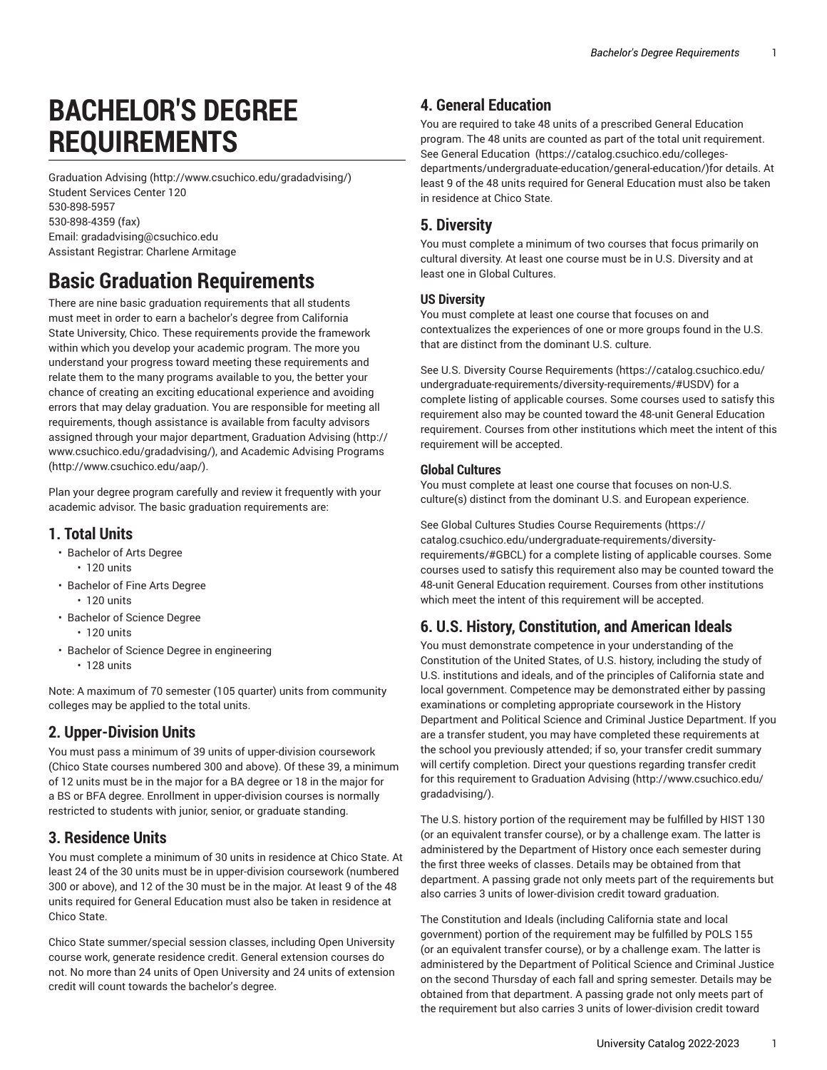# **BACHELOR'S DEGREE REQUIREMENTS**

[Graduation Advising](http://www.csuchico.edu/gradadvising/) ([http://www.csuchico.edu/gradadvising/\)](http://www.csuchico.edu/gradadvising/) Student Services Center 120 [530-898-5957](tel:530-898-5957) [530-898-4359 \(fax\)](tel:530-898-4359) Email: [gradadvising@csuchico.edu](mailto:gradadvising@csuchico.edu) Assistant Registrar: Charlene Armitage

## **Basic Graduation Requirements**

There are nine basic graduation requirements that all students must meet in order to earn a bachelor's degree from California State University, Chico. These requirements provide the framework within which you develop your academic program. The more you understand your progress toward meeting these requirements and relate them to the many programs available to you, the better your chance of creating an exciting educational experience and avoiding errors that may delay graduation. You are responsible for meeting all requirements, though assistance is available from faculty advisors assigned through your major department, [Graduation Advising](http://www.csuchico.edu/gradadvising/) [\(http://](http://www.csuchico.edu/gradadvising/) [www.csuchico.edu/gradadvising/\)](http://www.csuchico.edu/gradadvising/), and [Academic](http://www.csuchico.edu/aap/) Advising Programs ([http://www.csuchico.edu/aap/\)](http://www.csuchico.edu/aap/).

Plan your degree program carefully and review it frequently with your academic advisor. The basic graduation requirements are:

#### **1. Total Units**

- Bachelor of Arts Degree • 120 units
- Bachelor of Fine Arts Degree • 120 units
- Bachelor of Science Degree • 120 units
- Bachelor of Science Degree in engineering
	- 128 units

Note: A maximum of 70 semester (105 quarter) units from community colleges may be applied to the total units.

#### **2. Upper-Division Units**

You must pass a minimum of 39 units of upper-division coursework (Chico State courses numbered 300 and above). Of these 39, a minimum of 12 units must be in the major for a BA degree or 18 in the major for a BS or BFA degree. Enrollment in upper-division courses is normally restricted to students with junior, senior, or graduate standing.

#### **3. Residence Units**

You must complete a minimum of 30 units in residence at Chico State. At least 24 of the 30 units must be in upper-division coursework (numbered 300 or above), and 12 of the 30 must be in the major. At least 9 of the 48 units required for General Education must also be taken in residence at Chico State.

Chico State summer/special session classes, including Open University course work, generate residence credit. General extension courses do not. No more than 24 units of Open University and 24 units of extension credit will count towards the bachelor's degree.

#### **4. General Education**

You are required to take 48 units of a prescribed General Education program. The 48 units are counted as part of the total unit requirement. See General [Education \(https://catalog.csuchico.edu/colleges](https://catalog.csuchico.edu/colleges-departments/undergraduate-education/general-education/)[departments/undergraduate-education/general-education/\)](https://catalog.csuchico.edu/colleges-departments/undergraduate-education/general-education/)for details. At least 9 of the 48 units required for General Education must also be taken in residence at Chico State.

#### **5. Diversity**

You must complete a minimum of two courses that focus primarily on cultural diversity. At least one course must be in U.S. Diversity and at least one in Global Cultures.

#### **US Diversity**

You must complete at least one course that focuses on and contextualizes the experiences of one or more groups found in the U.S. that are distinct from the dominant U.S. culture.

See U.S. Diversity Course [Requirements](https://catalog.csuchico.edu/undergraduate-requirements/diversity-requirements/#USDV) ([https://catalog.csuchico.edu/](https://catalog.csuchico.edu/undergraduate-requirements/diversity-requirements/#USDV) [undergraduate-requirements/diversity-requirements/#USDV](https://catalog.csuchico.edu/undergraduate-requirements/diversity-requirements/#USDV)) for a complete listing of applicable courses. Some courses used to satisfy this requirement also may be counted toward the 48-unit General Education requirement. Courses from other institutions which meet the intent of this requirement will be accepted.

#### **Global Cultures**

You must complete at least one course that focuses on non-U.S. culture(s) distinct from the dominant U.S. and European experience.

See Global Cultures Studies Course [Requirements](https://catalog.csuchico.edu/undergraduate-requirements/diversity-requirements/#GBCL) [\(https://](https://catalog.csuchico.edu/undergraduate-requirements/diversity-requirements/#GBCL) [catalog.csuchico.edu/undergraduate-requirements/diversity](https://catalog.csuchico.edu/undergraduate-requirements/diversity-requirements/#GBCL)[requirements/#GBCL](https://catalog.csuchico.edu/undergraduate-requirements/diversity-requirements/#GBCL)) for a complete listing of applicable courses. Some courses used to satisfy this requirement also may be counted toward the 48-unit General Education requirement. Courses from other institutions which meet the intent of this requirement will be accepted.

#### **6. U.S. History, Constitution, and American Ideals**

You must demonstrate competence in your understanding of the Constitution of the United States, of U.S. history, including the study of U.S. institutions and ideals, and of the principles of California state and local government. Competence may be demonstrated either by passing examinations or completing appropriate coursework in the History Department and Political Science and Criminal Justice Department. If you are a transfer student, you may have completed these requirements at the school you previously attended; if so, your transfer credit summary will certify completion. Direct your questions regarding transfer credit for this requirement to [Graduation Advising](http://www.csuchico.edu/gradadvising/) [\(http://www.csuchico.edu/](http://www.csuchico.edu/gradadvising/) [gradadvising/](http://www.csuchico.edu/gradadvising/)).

The U.S. history portion of the requirement may be fulfilled by HIST 130 (or an equivalent transfer course), or by a challenge exam. The latter is administered by the Department of History once each semester during the first three weeks of classes. Details may be obtained from that department. A passing grade not only meets part of the requirements but also carries 3 units of lower-division credit toward graduation.

The Constitution and Ideals (including California state and local government) portion of the requirement may be fulfilled by POLS 155 (or an equivalent transfer course), or by a challenge exam. The latter is administered by the Department of Political Science and Criminal Justice on the second Thursday of each fall and spring semester. Details may be obtained from that department. A passing grade not only meets part of the requirement but also carries 3 units of lower-division credit toward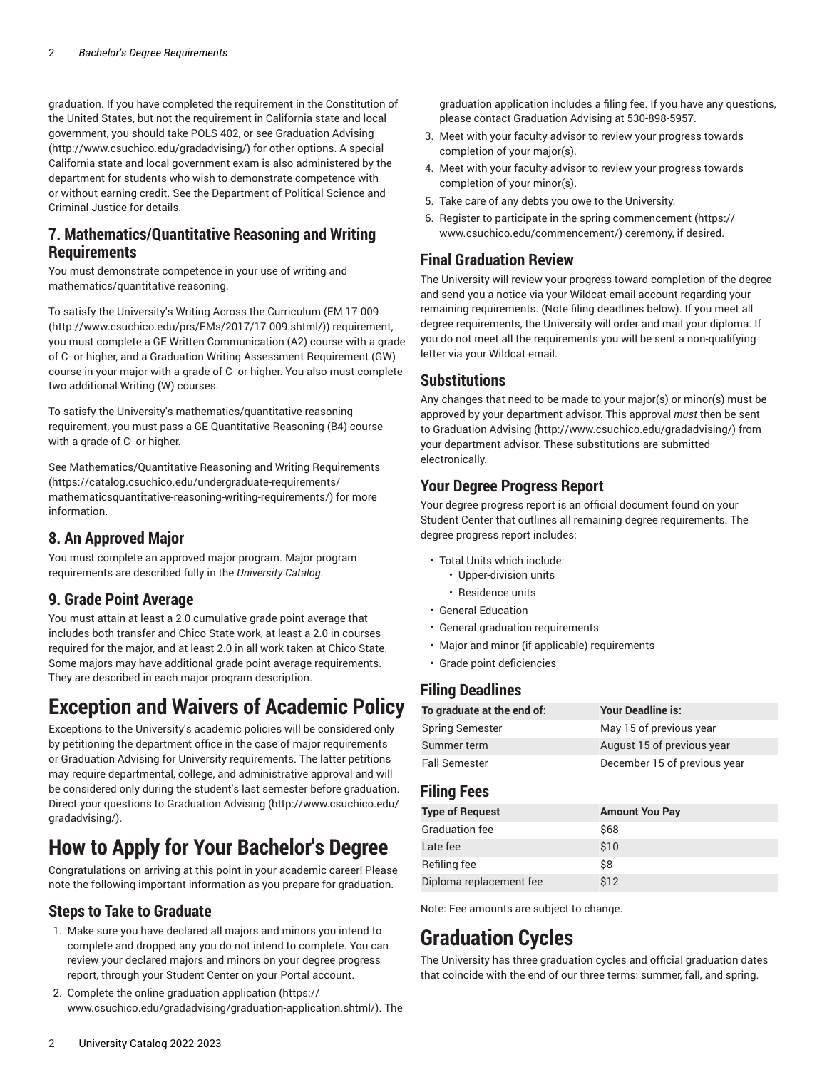graduation. If you have completed the requirement in the Constitution of the United States, but not the requirement in California state and local government, you should take POLS 402, or see [Graduation Advising](http://www.csuchico.edu/gradadvising/) ([http://www.csuchico.edu/gradadvising/\)](http://www.csuchico.edu/gradadvising/) for other options. A special California state and local government exam is also administered by the department for students who wish to demonstrate competence with or without earning credit. See the Department of Political Science and Criminal Justice for details.

#### **7. Mathematics/Quantitative Reasoning and Writing Requirements**

You must demonstrate competence in your use of writing and mathematics/quantitative reasoning.

To satisfy the University's Writing Across the Curriculum [\(EM 17-009](http://www.csuchico.edu/prs/EMs/2017/17-009.shtml/) ([http://www.csuchico.edu/prs/EMs/2017/17-009.shtml/\)](http://www.csuchico.edu/prs/EMs/2017/17-009.shtml/)) requirement, you must complete a GE Written Communication (A2) course with a grade of C- or higher, and a Graduation Writing Assessment Requirement (GW) course in your major with a grade of C- or higher. You also must complete two additional Writing (W) courses.

To satisfy the University's mathematics/quantitative reasoning requirement, you must pass a GE Quantitative Reasoning (B4) course with a grade of C- or higher.

See [Mathematics/Quantitative](https://catalog.csuchico.edu/undergraduate-requirements/mathematicsquantitative-reasoning-writing-requirements/) Reasoning and Writing Requirements ([https://catalog.csuchico.edu/undergraduate-requirements/](https://catalog.csuchico.edu/undergraduate-requirements/mathematicsquantitative-reasoning-writing-requirements/) [mathematicsquantitative-reasoning-writing-requirements/](https://catalog.csuchico.edu/undergraduate-requirements/mathematicsquantitative-reasoning-writing-requirements/)) for more information.

#### **8. An Approved Major**

You must complete an approved major program. Major program requirements are described fully in the *University Catalog*.

#### **9. Grade Point Average**

You must attain at least a 2.0 cumulative grade point average that includes both transfer and Chico State work, at least a 2.0 in courses required for the major, and at least 2.0 in all work taken at Chico State. Some majors may have additional grade point average requirements. They are described in each major program description.

## **Exception and Waivers of Academic Policy**

Exceptions to the University's academic policies will be considered only by petitioning the department office in the case of major requirements or Graduation Advising for University requirements. The latter petitions may require departmental, college, and administrative approval and will be considered only during the student's last semester before graduation. Direct your questions to [Graduation Advising \(http://www.csuchico.edu/](http://www.csuchico.edu/gradadvising/) [gradadvising/\)](http://www.csuchico.edu/gradadvising/).

## **How to Apply for Your Bachelor's Degree**

Congratulations on arriving at this point in your academic career! Please note the following important information as you prepare for graduation.

#### **Steps to Take to Graduate**

- 1. Make sure you have declared all majors and minors you intend to complete and dropped any you do not intend to complete. You can review your declared majors and minors on your degree progress report, through your Student Center on your Portal account.
- 2. [Complete the online graduation application \(https://](https://www.csuchico.edu/gradadvising/graduation-application.shtml/) [www.csuchico.edu/gradadvising/graduation-application.shtml/\)](https://www.csuchico.edu/gradadvising/graduation-application.shtml/). The

graduation application includes a filing fee. If you have any questions, please contact Graduation Advising at 530-898-5957.

- 3. Meet with your faculty advisor to review your progress towards completion of your major(s).
- 4. Meet with your faculty advisor to review your progress towards completion of your minor(s).
- 5. Take care of any debts you owe to the University.
- 6. Register to participate in the [spring commencement](https://www.csuchico.edu/commencement/) [\(https://](https://www.csuchico.edu/commencement/) [www.csuchico.edu/commencement/](https://www.csuchico.edu/commencement/)) ceremony, if desired.

#### **Final Graduation Review**

The University will review your progress toward completion of the degree and send you a notice via your Wildcat email account regarding your remaining requirements. (Note filing deadlines below). If you meet all degree requirements, the University will order and mail your diploma. If you do not meet all the requirements you will be sent a non-qualifying letter via your Wildcat email.

#### **Substitutions**

Any changes that need to be made to your major(s) or minor(s) must be approved by your department advisor. This approval *must* then be sent to [Graduation Advising \(http://www.csuchico.edu/gradadvising/](http://www.csuchico.edu/gradadvising/)) from your department advisor. These substitutions are submitted electronically.

#### **Your Degree Progress Report**

Your degree progress report is an official document found on your Student Center that outlines all remaining degree requirements. The degree progress report includes:

- Total Units which include:
	- Upper-division units
	- Residence units
- General Education
- General graduation requirements
- Major and minor (if applicable) requirements
- Grade point deficiencies

#### **Filing Deadlines**

| To graduate at the end of: | <b>Your Deadline is:</b>     |
|----------------------------|------------------------------|
| Spring Semester            | May 15 of previous year      |
| Summer term                | August 15 of previous year   |
| Fall Semester              | December 15 of previous year |

#### **Filing Fees**

| <b>Type of Request</b>  | <b>Amount You Pay</b> |
|-------------------------|-----------------------|
| <b>Graduation fee</b>   | \$68                  |
| Late fee                | \$10                  |
| Refiling fee            | Ś8                    |
| Diploma replacement fee | \$12                  |

Note: Fee amounts are subject to change.

## **Graduation Cycles**

The University has three graduation cycles and official graduation dates that coincide with the end of our three terms: summer, fall, and spring.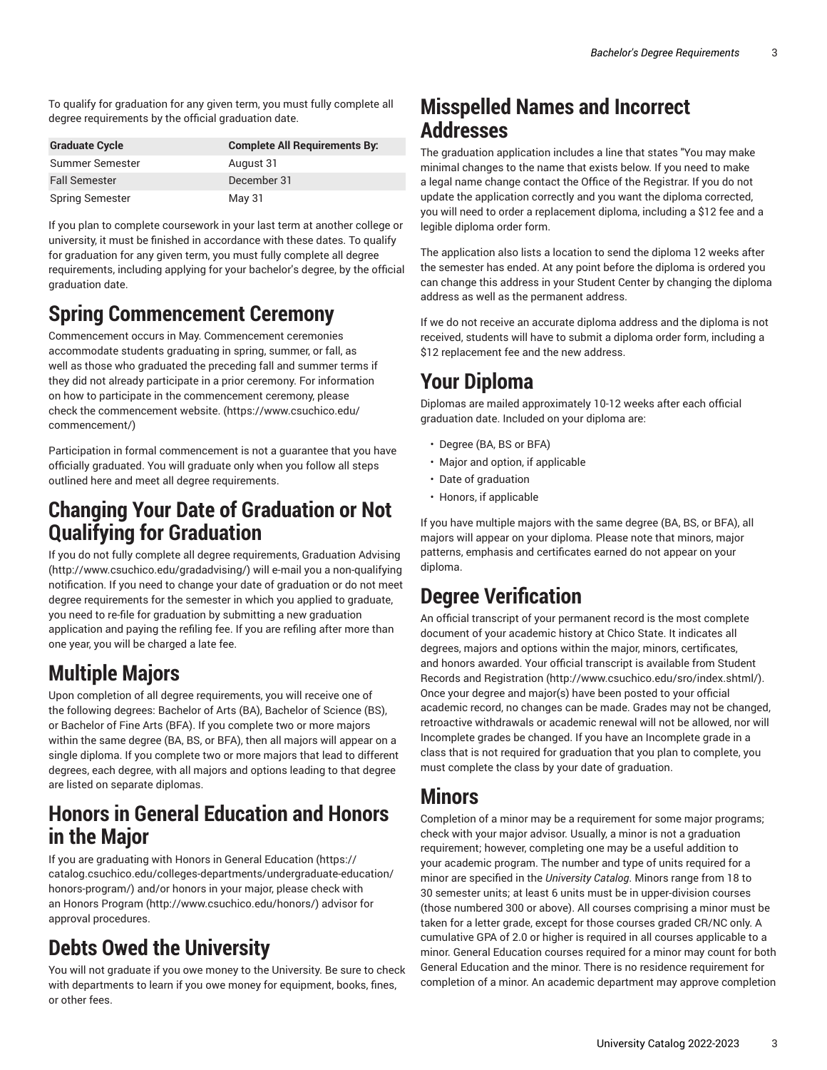To qualify for graduation for any given term, you must fully complete all degree requirements by the official graduation date.

| <b>Graduate Cycle</b>  | <b>Complete All Requirements By:</b> |
|------------------------|--------------------------------------|
| Summer Semester        | August 31                            |
| <b>Fall Semester</b>   | December 31                          |
| <b>Spring Semester</b> | May 31                               |

If you plan to complete coursework in your last term at another college or university, it must be finished in accordance with these dates. To qualify for graduation for any given term, you must fully complete all degree requirements, including applying for your bachelor's degree, by the official graduation date.

## **Spring Commencement Ceremony**

Commencement occurs in May. Commencement ceremonies accommodate students graduating in spring, summer, or fall, as well as those who graduated the preceding fall and summer terms if they did not already participate in a prior ceremony. For information on how to participate in the commencement ceremony, please check the [commencement website.](https://www.csuchico.edu/commencement/) [\(https://www.csuchico.edu/](https://www.csuchico.edu/commencement/) [commencement/\)](https://www.csuchico.edu/commencement/)

Participation in formal commencement is not a guarantee that you have officially graduated. You will graduate only when you follow all steps outlined here and meet all degree requirements.

### **Changing Your Date of Graduation or Not Qualifying for Graduation**

If you do not fully complete all degree requirements, [Graduation Advising](http://www.csuchico.edu/gradadvising/) ([http://www.csuchico.edu/gradadvising/\)](http://www.csuchico.edu/gradadvising/) will e-mail you a non-qualifying notification. If you need to change your date of graduation or do not meet degree requirements for the semester in which you applied to graduate, you need to re-file for graduation by submitting a new graduation application and paying the refiling fee. If you are refiling after more than one year, you will be charged a late fee.

## **Multiple Majors**

Upon completion of all degree requirements, you will receive one of the following degrees: Bachelor of Arts (BA), Bachelor of Science (BS), or Bachelor of Fine Arts (BFA). If you complete two or more majors within the same degree (BA, BS, or BFA), then all majors will appear on a single diploma. If you complete two or more majors that lead to different degrees, each degree, with all majors and options leading to that degree are listed on separate diplomas.

### **Honors in General Education and Honors in the Major**

If you are graduating with Honors in General [Education](https://catalog.csuchico.edu/colleges-departments/undergraduate-education/honors-program/) ([https://](https://catalog.csuchico.edu/colleges-departments/undergraduate-education/honors-program/) [catalog.csuchico.edu/colleges-departments/undergraduate-education/](https://catalog.csuchico.edu/colleges-departments/undergraduate-education/honors-program/) [honors-program/](https://catalog.csuchico.edu/colleges-departments/undergraduate-education/honors-program/)) and/or honors in your major, please check with an Honors [Program](http://www.csuchico.edu/honors/) ([http://www.csuchico.edu/honors/\)](http://www.csuchico.edu/honors/) advisor for approval procedures.

## **Debts Owed the University**

You will not graduate if you owe money to the University. Be sure to check with departments to learn if you owe money for equipment, books, fines, or other fees.

### **Misspelled Names and Incorrect Addresses**

The graduation application includes a line that states "You may make minimal changes to the name that exists below. If you need to make a legal name change contact the Office of the Registrar. If you do not update the application correctly and you want the diploma corrected, you will need to order a replacement diploma, including a \$12 fee and a legible diploma order form.

The application also lists a location to send the diploma 12 weeks after the semester has ended. At any point before the diploma is ordered you can change this address in your Student Center by changing the diploma address as well as the permanent address.

If we do not receive an accurate diploma address and the diploma is not received, students will have to submit a diploma order form, including a \$12 replacement fee and the new address.

## **Your Diploma**

Diplomas are mailed approximately 10-12 weeks after each official graduation date. Included on your diploma are:

- Degree (BA, BS or BFA)
- Major and option, if applicable
- Date of graduation
- Honors, if applicable

If you have multiple majors with the same degree (BA, BS, or BFA), all majors will appear on your diploma. Please note that minors, major patterns, emphasis and certificates earned do not appear on your diploma.

## **Degree Verification**

An official transcript of your permanent record is the most complete document of your academic history at Chico State. It indicates all degrees, majors and options within the major, minors, certificates, and honors awarded. Your official transcript is available from [Student](http://www.csuchico.edu/sro/index.shtml/) Records and [Registration \(http://www.csuchico.edu/sro/index.shtml/\)](http://www.csuchico.edu/sro/index.shtml/). Once your degree and major(s) have been posted to your official academic record, no changes can be made. Grades may not be changed, retroactive withdrawals or academic renewal will not be allowed, nor will Incomplete grades be changed. If you have an Incomplete grade in a class that is not required for graduation that you plan to complete, you must complete the class by your date of graduation.

## **Minors**

Completion of a minor may be a requirement for some major programs; check with your major advisor. Usually, a minor is not a graduation requirement; however, completing one may be a useful addition to your academic program. The number and type of units required for a minor are specified in the *University Catalog*. Minors range from 18 to 30 semester units; at least 6 units must be in upper-division courses (those numbered 300 or above). All courses comprising a minor must be taken for a letter grade, except for those courses graded CR/NC only. A cumulative GPA of 2.0 or higher is required in all courses applicable to a minor. General Education courses required for a minor may count for both General Education and the minor. There is no residence requirement for completion of a minor. An academic department may approve completion